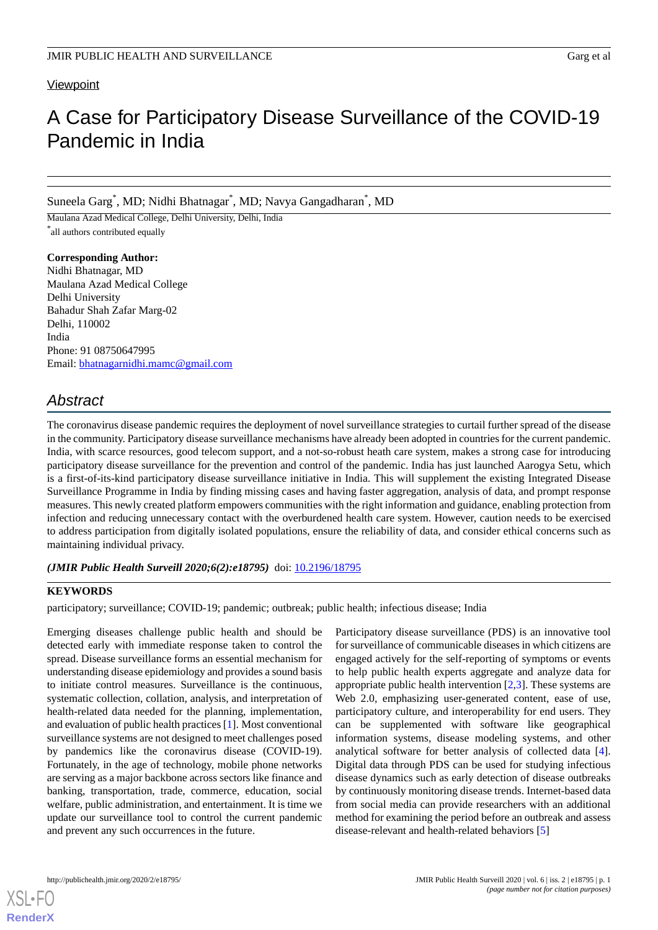## **Viewpoint**

# A Case for Participatory Disease Surveillance of the COVID-19 Pandemic in India

Suneela Garg \* , MD; Nidhi Bhatnagar\* , MD; Navya Gangadharan\* , MD

Maulana Azad Medical College, Delhi University, Delhi, India \* all authors contributed equally

**Corresponding Author:** Nidhi Bhatnagar, MD Maulana Azad Medical College Delhi University Bahadur Shah Zafar Marg-02 Delhi, 110002 India Phone: 91 08750647995 Email: [bhatnagarnidhi.mamc@gmail.com](mailto:bhatnagarnidhi.mamc@gmail.com)

# *Abstract*

The coronavirus disease pandemic requires the deployment of novel surveillance strategies to curtail further spread of the disease in the community. Participatory disease surveillance mechanisms have already been adopted in countries for the current pandemic. India, with scarce resources, good telecom support, and a not-so-robust heath care system, makes a strong case for introducing participatory disease surveillance for the prevention and control of the pandemic. India has just launched Aarogya Setu, which is a first-of-its-kind participatory disease surveillance initiative in India. This will supplement the existing Integrated Disease Surveillance Programme in India by finding missing cases and having faster aggregation, analysis of data, and prompt response measures. This newly created platform empowers communities with the right information and guidance, enabling protection from infection and reducing unnecessary contact with the overburdened health care system. However, caution needs to be exercised to address participation from digitally isolated populations, ensure the reliability of data, and consider ethical concerns such as maintaining individual privacy.

## *(JMIR Public Health Surveill 2020;6(2):e18795)* doi: [10.2196/18795](http://dx.doi.org/10.2196/18795)

## **KEYWORDS**

participatory; surveillance; COVID-19; pandemic; outbreak; public health; infectious disease; India

Emerging diseases challenge public health and should be detected early with immediate response taken to control the spread. Disease surveillance forms an essential mechanism for understanding disease epidemiology and provides a sound basis to initiate control measures. Surveillance is the continuous, systematic collection, collation, analysis, and interpretation of health-related data needed for the planning, implementation, and evaluation of public health practices [\[1](#page-3-0)]. Most conventional surveillance systems are not designed to meet challenges posed by pandemics like the coronavirus disease (COVID-19). Fortunately, in the age of technology, mobile phone networks are serving as a major backbone across sectors like finance and banking, transportation, trade, commerce, education, social welfare, public administration, and entertainment. It is time we update our surveillance tool to control the current pandemic and prevent any such occurrences in the future.

Participatory disease surveillance (PDS) is an innovative tool for surveillance of communicable diseases in which citizens are engaged actively for the self-reporting of symptoms or events to help public health experts aggregate and analyze data for appropriate public health intervention  $[2,3]$  $[2,3]$  $[2,3]$  $[2,3]$ . These systems are Web 2.0, emphasizing user-generated content, ease of use, participatory culture, and interoperability for end users. They can be supplemented with software like geographical information systems, disease modeling systems, and other analytical software for better analysis of collected data [[4\]](#page-3-3). Digital data through PDS can be used for studying infectious disease dynamics such as early detection of disease outbreaks by continuously monitoring disease trends. Internet-based data from social media can provide researchers with an additional method for examining the period before an outbreak and assess disease-relevant and health-related behaviors [[5\]](#page-3-4)

[XSL](http://www.w3.org/Style/XSL)•FO **[RenderX](http://www.renderx.com/)**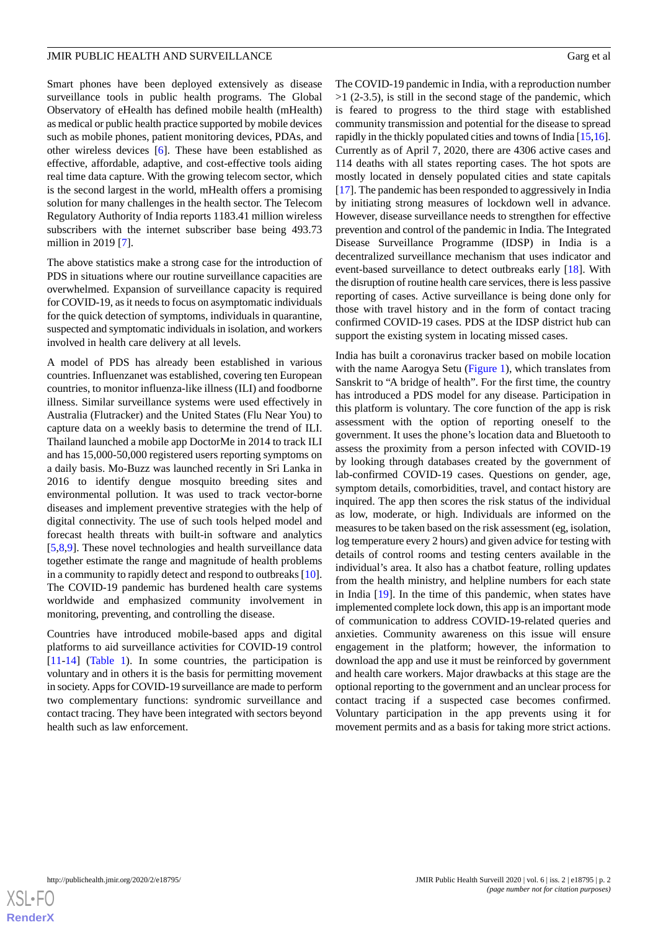#### JMIR PUBLIC HEALTH AND SURVEILLANCE Garg et al. Garg et al.

Smart phones have been deployed extensively as disease surveillance tools in public health programs. The Global Observatory of eHealth has defined mobile health (mHealth) as medical or public health practice supported by mobile devices such as mobile phones, patient monitoring devices, PDAs, and other wireless devices [\[6](#page-3-5)]. These have been established as effective, affordable, adaptive, and cost-effective tools aiding real time data capture. With the growing telecom sector, which is the second largest in the world, mHealth offers a promising solution for many challenges in the health sector. The Telecom Regulatory Authority of India reports 1183.41 million wireless subscribers with the internet subscriber base being 493.73 million in 2019 [\[7](#page-3-6)].

The above statistics make a strong case for the introduction of PDS in situations where our routine surveillance capacities are overwhelmed. Expansion of surveillance capacity is required for COVID-19, as it needs to focus on asymptomatic individuals for the quick detection of symptoms, individuals in quarantine, suspected and symptomatic individuals in isolation, and workers involved in health care delivery at all levels.

A model of PDS has already been established in various countries. Influenzanet was established, covering ten European countries, to monitor influenza-like illness (ILI) and foodborne illness. Similar surveillance systems were used effectively in Australia (Flutracker) and the United States (Flu Near You) to capture data on a weekly basis to determine the trend of ILI. Thailand launched a mobile app DoctorMe in 2014 to track ILI and has 15,000-50,000 registered users reporting symptoms on a daily basis. Mo-Buzz was launched recently in Sri Lanka in 2016 to identify dengue mosquito breeding sites and environmental pollution. It was used to track vector-borne diseases and implement preventive strategies with the help of digital connectivity. The use of such tools helped model and forecast health threats with built-in software and analytics [[5](#page-3-4)[,8](#page-3-7),[9\]](#page-3-8). These novel technologies and health surveillance data together estimate the range and magnitude of health problems in a community to rapidly detect and respond to outbreaks [[10\]](#page-3-9). The COVID-19 pandemic has burdened health care systems worldwide and emphasized community involvement in monitoring, preventing, and controlling the disease.

Countries have introduced mobile-based apps and digital platforms to aid surveillance activities for COVID-19 control [[11](#page-4-0)[-14](#page-4-1)] ([Table 1](#page-2-0)). In some countries, the participation is voluntary and in others it is the basis for permitting movement in society. Apps for COVID-19 surveillance are made to perform two complementary functions: syndromic surveillance and contact tracing. They have been integrated with sectors beyond health such as law enforcement.

The COVID-19 pandemic in India, with a reproduction number  $>1$  (2-3.5), is still in the second stage of the pandemic, which is feared to progress to the third stage with established community transmission and potential for the disease to spread rapidly in the thickly populated cities and towns of India [\[15](#page-4-2)[,16](#page-4-3)]. Currently as of April 7, 2020, there are 4306 active cases and 114 deaths with all states reporting cases. The hot spots are mostly located in densely populated cities and state capitals [[17\]](#page-4-4). The pandemic has been responded to aggressively in India by initiating strong measures of lockdown well in advance. However, disease surveillance needs to strengthen for effective prevention and control of the pandemic in India. The Integrated Disease Surveillance Programme (IDSP) in India is a decentralized surveillance mechanism that uses indicator and event-based surveillance to detect outbreaks early [[18\]](#page-4-5). With the disruption of routine health care services, there is less passive reporting of cases. Active surveillance is being done only for those with travel history and in the form of contact tracing confirmed COVID-19 cases. PDS at the IDSP district hub can support the existing system in locating missed cases.

India has built a coronavirus tracker based on mobile location with the name Aarogya Setu ([Figure 1\)](#page-2-1), which translates from Sanskrit to "A bridge of health". For the first time, the country has introduced a PDS model for any disease. Participation in this platform is voluntary. The core function of the app is risk assessment with the option of reporting oneself to the government. It uses the phone's location data and Bluetooth to assess the proximity from a person infected with COVID-19 by looking through databases created by the government of lab-confirmed COVID-19 cases. Questions on gender, age, symptom details, comorbidities, travel, and contact history are inquired. The app then scores the risk status of the individual as low, moderate, or high. Individuals are informed on the measures to be taken based on the risk assessment (eg, isolation, log temperature every 2 hours) and given advice for testing with details of control rooms and testing centers available in the individual's area. It also has a chatbot feature, rolling updates from the health ministry, and helpline numbers for each state in India [[19\]](#page-4-6). In the time of this pandemic, when states have implemented complete lock down, this app is an important mode of communication to address COVID-19-related queries and anxieties. Community awareness on this issue will ensure engagement in the platform; however, the information to download the app and use it must be reinforced by government and health care workers. Major drawbacks at this stage are the optional reporting to the government and an unclear process for contact tracing if a suspected case becomes confirmed. Voluntary participation in the app prevents using it for movement permits and as a basis for taking more strict actions.

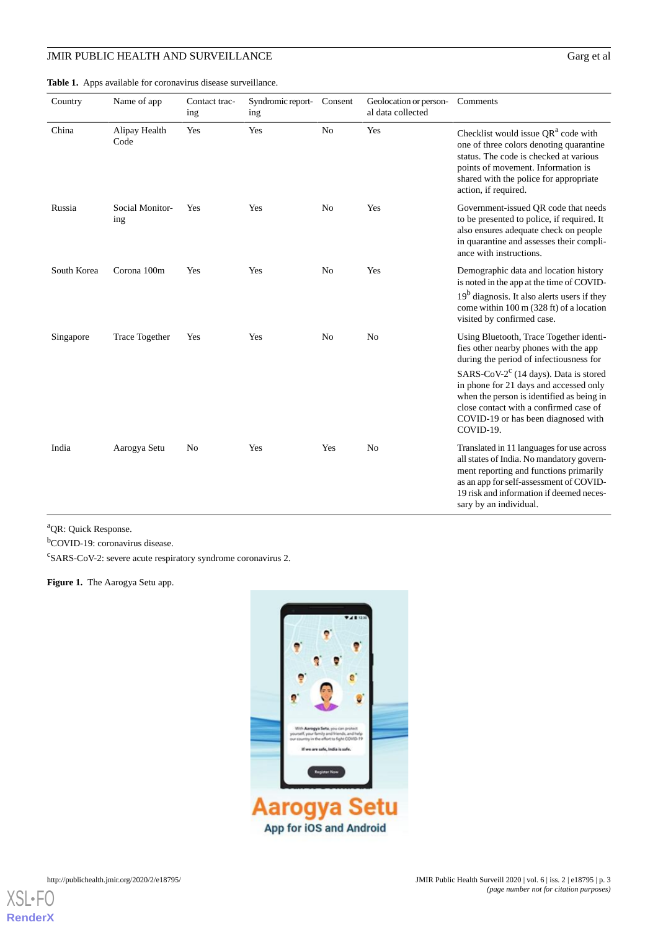# JMIR PUBLIC HEALTH AND SURVEILLANCE Garg et al

| Country     | Name of app            | Contact trac-<br>ing | Syndromic report-<br>ing | Consent        | Geolocation or person-<br>al data collected | Comments                                                                                                                                                                                                                                                                                                                                                              |
|-------------|------------------------|----------------------|--------------------------|----------------|---------------------------------------------|-----------------------------------------------------------------------------------------------------------------------------------------------------------------------------------------------------------------------------------------------------------------------------------------------------------------------------------------------------------------------|
| China       | Alipay Health<br>Code  | Yes                  | Yes                      | N <sub>0</sub> | Yes                                         | Checklist would issue QR <sup>a</sup> code with<br>one of three colors denoting quarantine<br>status. The code is checked at various<br>points of movement. Information is<br>shared with the police for appropriate<br>action, if required.                                                                                                                          |
| Russia      | Social Monitor-<br>ing | Yes                  | Yes                      | No             | Yes                                         | Government-issued QR code that needs<br>to be presented to police, if required. It<br>also ensures adequate check on people<br>in quarantine and assesses their compli-<br>ance with instructions.                                                                                                                                                                    |
| South Korea | Corona 100m            | Yes                  | Yes                      | N <sub>0</sub> | Yes                                         | Demographic data and location history<br>is noted in the app at the time of COVID-<br>$19b$ diagnosis. It also alerts users if they<br>come within 100 m (328 ft) of a location<br>visited by confirmed case.                                                                                                                                                         |
| Singapore   | Trace Together         | Yes                  | Yes                      | N <sub>0</sub> | N <sub>0</sub>                              | Using Bluetooth, Trace Together identi-<br>fies other nearby phones with the app<br>during the period of infectiousness for<br>SARS-CoV-2 <sup>c</sup> (14 days). Data is stored<br>in phone for 21 days and accessed only<br>when the person is identified as being in<br>close contact with a confirmed case of<br>COVID-19 or has been diagnosed with<br>COVID-19. |
| India       | Aarogya Setu           | N <sub>0</sub>       | Yes                      | Yes            | N <sub>0</sub>                              | Translated in 11 languages for use across<br>all states of India. No mandatory govern-<br>ment reporting and functions primarily<br>as an app for self-assessment of COVID-<br>19 risk and information if deemed neces-<br>sary by an individual.                                                                                                                     |

<span id="page-2-0"></span>**Table 1.** Apps available for coronavirus disease surveillance.

<span id="page-2-1"></span><sup>a</sup>QR: Quick Response.

<sup>b</sup>COVID-19: coronavirus disease.

<sup>c</sup>SARS-CoV-2: severe acute respiratory syndrome coronavirus 2.

**Figure 1.** The Aarogya Setu app.



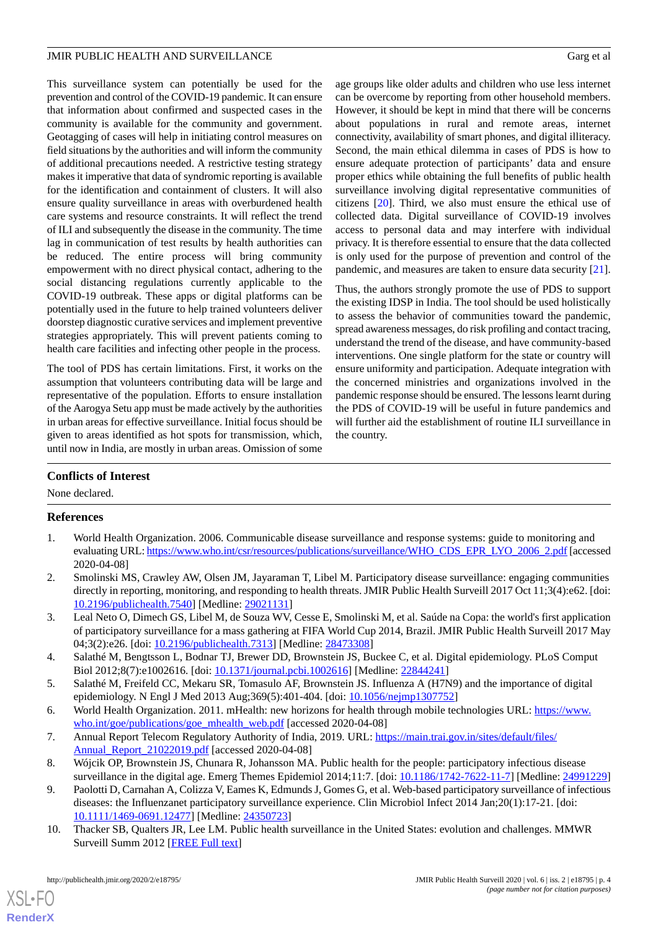#### JMIR PUBLIC HEALTH AND SURVEILLANCE Garg et al. Garg et al.

This surveillance system can potentially be used for the prevention and control of the COVID-19 pandemic. It can ensure that information about confirmed and suspected cases in the community is available for the community and government. Geotagging of cases will help in initiating control measures on field situations by the authorities and will inform the community of additional precautions needed. A restrictive testing strategy makes it imperative that data of syndromic reporting is available for the identification and containment of clusters. It will also ensure quality surveillance in areas with overburdened health care systems and resource constraints. It will reflect the trend of ILI and subsequently the disease in the community. The time lag in communication of test results by health authorities can be reduced. The entire process will bring community empowerment with no direct physical contact, adhering to the social distancing regulations currently applicable to the COVID-19 outbreak. These apps or digital platforms can be potentially used in the future to help trained volunteers deliver doorstep diagnostic curative services and implement preventive strategies appropriately. This will prevent patients coming to health care facilities and infecting other people in the process.

The tool of PDS has certain limitations. First, it works on the assumption that volunteers contributing data will be large and representative of the population. Efforts to ensure installation of the Aarogya Setu app must be made actively by the authorities in urban areas for effective surveillance. Initial focus should be given to areas identified as hot spots for transmission, which, until now in India, are mostly in urban areas. Omission of some

age groups like older adults and children who use less internet can be overcome by reporting from other household members. However, it should be kept in mind that there will be concerns about populations in rural and remote areas, internet connectivity, availability of smart phones, and digital illiteracy. Second, the main ethical dilemma in cases of PDS is how to ensure adequate protection of participants' data and ensure proper ethics while obtaining the full benefits of public health surveillance involving digital representative communities of citizens [[20\]](#page-4-7). Third, we also must ensure the ethical use of collected data. Digital surveillance of COVID-19 involves access to personal data and may interfere with individual privacy. It is therefore essential to ensure that the data collected is only used for the purpose of prevention and control of the pandemic, and measures are taken to ensure data security [[21\]](#page-4-8).

Thus, the authors strongly promote the use of PDS to support the existing IDSP in India. The tool should be used holistically to assess the behavior of communities toward the pandemic, spread awareness messages, do risk profiling and contact tracing, understand the trend of the disease, and have community-based interventions. One single platform for the state or country will ensure uniformity and participation. Adequate integration with the concerned ministries and organizations involved in the pandemic response should be ensured. The lessons learnt during the PDS of COVID-19 will be useful in future pandemics and will further aid the establishment of routine ILI surveillance in the country.

# **Conflicts of Interest**

<span id="page-3-0"></span>None declared.

## <span id="page-3-1"></span>**References**

- <span id="page-3-2"></span>1. World Health Organization. 2006. Communicable disease surveillance and response systems: guide to monitoring and evaluating URL: [https://www.who.int/csr/resources/publications/surveillance/WHO\\_CDS\\_EPR\\_LYO\\_2006\\_2.pdf](https://www.who.int/csr/resources/publications/surveillance/WHO_CDS_EPR_LYO_2006_2.pdf) [accessed 2020-04-08]
- <span id="page-3-3"></span>2. Smolinski MS, Crawley AW, Olsen JM, Jayaraman T, Libel M. Participatory disease surveillance: engaging communities directly in reporting, monitoring, and responding to health threats. JMIR Public Health Surveill 2017 Oct 11;3(4):e62. [doi: [10.2196/publichealth.7540\]](http://dx.doi.org/10.2196/publichealth.7540) [Medline: [29021131\]](http://www.ncbi.nlm.nih.gov/entrez/query.fcgi?cmd=Retrieve&db=PubMed&list_uids=29021131&dopt=Abstract)
- <span id="page-3-4"></span>3. Leal Neto O, Dimech GS, Libel M, de Souza WV, Cesse E, Smolinski M, et al. Saúde na Copa: the world's first application of participatory surveillance for a mass gathering at FIFA World Cup 2014, Brazil. JMIR Public Health Surveill 2017 May 04;3(2):e26. [doi: [10.2196/publichealth.7313\]](http://dx.doi.org/10.2196/publichealth.7313) [Medline: [28473308\]](http://www.ncbi.nlm.nih.gov/entrez/query.fcgi?cmd=Retrieve&db=PubMed&list_uids=28473308&dopt=Abstract)
- <span id="page-3-6"></span><span id="page-3-5"></span>4. Salathé M, Bengtsson L, Bodnar TJ, Brewer DD, Brownstein JS, Buckee C, et al. Digital epidemiology. PLoS Comput Biol 2012;8(7):e1002616. [doi: [10.1371/journal.pcbi.1002616](http://dx.doi.org/10.1371/journal.pcbi.1002616)] [Medline: [22844241\]](http://www.ncbi.nlm.nih.gov/entrez/query.fcgi?cmd=Retrieve&db=PubMed&list_uids=22844241&dopt=Abstract)
- <span id="page-3-7"></span>5. Salathé M, Freifeld CC, Mekaru SR, Tomasulo AF, Brownstein JS. Influenza A (H7N9) and the importance of digital epidemiology. N Engl J Med 2013 Aug;369(5):401-404. [doi: [10.1056/nejmp1307752](http://dx.doi.org/10.1056/nejmp1307752)]
- <span id="page-3-8"></span>6. World Health Organization. 2011. mHealth: new horizons for health through mobile technologies URL: [https://www.](https://www.who.int/goe/publications/goe_mhealth_web.pdf) [who.int/goe/publications/goe\\_mhealth\\_web.pdf](https://www.who.int/goe/publications/goe_mhealth_web.pdf) [accessed 2020-04-08]
- <span id="page-3-9"></span>7. Annual Report Telecom Regulatory Authority of India, 2019. URL: [https://main.trai.gov.in/sites/default/files/](https://main.trai.gov.in/sites/default/files/Annual_Report_21022019.pdf) Annual Report 21022019.pdf [accessed 2020-04-08]
- 8. Wójcik OP, Brownstein JS, Chunara R, Johansson MA. Public health for the people: participatory infectious disease surveillance in the digital age. Emerg Themes Epidemiol 2014;11:7. [doi: [10.1186/1742-7622-11-7\]](http://dx.doi.org/10.1186/1742-7622-11-7) [Medline: [24991229](http://www.ncbi.nlm.nih.gov/entrez/query.fcgi?cmd=Retrieve&db=PubMed&list_uids=24991229&dopt=Abstract)]
- 9. Paolotti D, Carnahan A, Colizza V, Eames K, Edmunds J, Gomes G, et al. Web-based participatory surveillance of infectious diseases: the Influenzanet participatory surveillance experience. Clin Microbiol Infect 2014 Jan;20(1):17-21. [doi: [10.1111/1469-0691.12477\]](http://dx.doi.org/10.1111/1469-0691.12477) [Medline: [24350723](http://www.ncbi.nlm.nih.gov/entrez/query.fcgi?cmd=Retrieve&db=PubMed&list_uids=24350723&dopt=Abstract)]
- 10. Thacker SB, Qualters JR, Lee LM. Public health surveillance in the United States: evolution and challenges. MMWR Surveill Summ 2012 [[FREE Full text](https://www.cdc.gov/mmwr/preview/mmwrhtml/su6103a2.htm)]

[XSL](http://www.w3.org/Style/XSL)•FO **[RenderX](http://www.renderx.com/)**